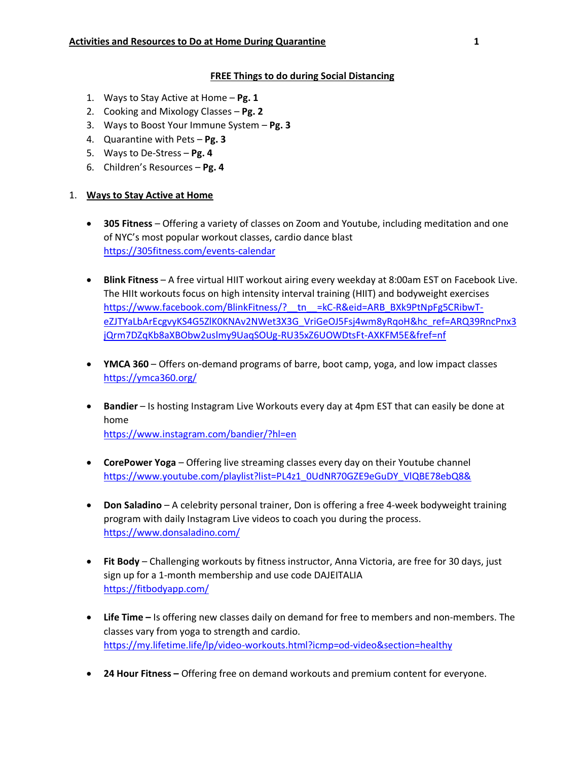## **FREE Things to do during Social Distancing**

- 1. Ways to Stay Active at Home **Pg. 1**
- 2. Cooking and Mixology Classes **Pg. 2**
- 3. Ways to Boost Your Immune System **Pg. 3**
- 4. Quarantine with Pets **Pg. 3**
- 5. Ways to De-Stress **Pg. 4**
- 6. Children's Resources **Pg. 4**

## 1. **Ways to Stay Active at Home**

- **305 Fitness** Offering a variety of classes on Zoom and Youtube, including meditation and one of NYC's most popular workout classes, cardio dance blast <https://305fitness.com/events-calendar>
- **Blink Fitness** A free virtual HIIT workout airing every weekday at 8:00am EST on Facebook Live. The HIIt workouts focus on high intensity interval training (HIIT) and bodyweight exercises https://www.facebook.com/BlinkFitness/? tn =kC-R&eid=ARB\_BXk9PtNpFg5CRibwT[eZJTYaLbArEcgvyKS4G5ZlK0KNAv2NWet3X3G\\_VriGeOJ5Fsj4wm8yRqoH&hc\\_ref=ARQ39RncPnx3](https://www.facebook.com/BlinkFitness/?__tn__=kC-R&eid=ARB_BXk9PtNpFg5CRibwT-eZJTYaLbArEcgvyKS4G5ZlK0KNAv2NWet3X3G_VriGeOJ5Fsj4wm8yRqoH&hc_ref=ARQ39RncPnx3jQrm7DZqKb8aXBObw2uslmy9UaqSOUg-RU35xZ6UOWDtsFt-AXKFM5E&fref=nf) [jQrm7DZqKb8aXBObw2uslmy9UaqSOUg-RU35xZ6UOWDtsFt-AXKFM5E&fref=nf](https://www.facebook.com/BlinkFitness/?__tn__=kC-R&eid=ARB_BXk9PtNpFg5CRibwT-eZJTYaLbArEcgvyKS4G5ZlK0KNAv2NWet3X3G_VriGeOJ5Fsj4wm8yRqoH&hc_ref=ARQ39RncPnx3jQrm7DZqKb8aXBObw2uslmy9UaqSOUg-RU35xZ6UOWDtsFt-AXKFM5E&fref=nf)
- **YMCA 360** Offers on-demand programs of barre, boot camp, yoga, and low impact classes <https://ymca360.org/>
- **Bandier** Is hosting Instagram Live Workouts every day at 4pm EST that can easily be done at home <https://www.instagram.com/bandier/?hl=en>
- **CorePower Yoga** Offering live streaming classes every day on their Youtube channel [https://www.youtube.com/playlist?list=PL4z1\\_0UdNR70GZE9eGuDY\\_VlQBE78ebQ8&](https://www.youtube.com/playlist?list=PL4z1_0UdNR70GZE9eGuDY_VlQBE78ebQ8&)
- **Don Saladino** A celebrity personal trainer, Don is offering a free 4-week bodyweight training program with daily Instagram Live videos to coach you during the process. <https://www.donsaladino.com/>
- **Fit Body** Challenging workouts by fitness instructor, Anna Victoria, are free for 30 days, just sign up for a 1-month membership and use code DAJEITALIA <https://fitbodyapp.com/>
- **Life Time –** Is offering new classes daily on demand for free to members and non-members. The classes vary from yoga to strength and cardio. [https://my.lifetime.life/lp/video-workouts.html?icmp=od-video&section=healthy](https://my.lifetime.life/lp/video-workouts.html?icmp=od-video§ion=healthy)
- **24 Hour Fitness –** Offering free on demand workouts and premium content for everyone.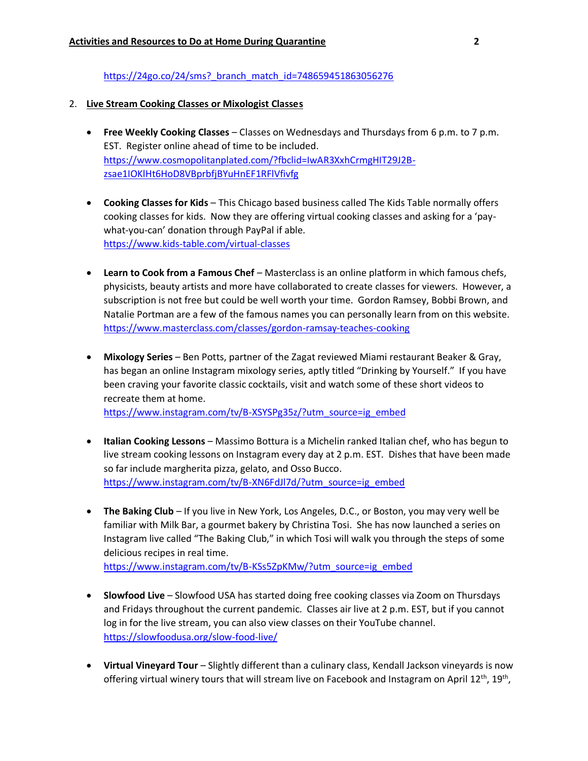https://24go.co/24/sms? branch\_match\_id=748659451863056276

### 2. **Live Stream Cooking Classes or Mixologist Classes**

- **Free Weekly Cooking Classes** Classes on Wednesdays and Thursdays from 6 p.m. to 7 p.m. EST. Register online ahead of time to be included. [https://www.cosmopolitanplated.com/?fbclid=IwAR3XxhCrmgHIT29J2B](https://www.cosmopolitanplated.com/?fbclid=IwAR3XxhCrmgHIT29J2B-zsae1IOKlHt6HoD8VBprbfjBYuHnEF1RFlVfivfg)[zsae1IOKlHt6HoD8VBprbfjBYuHnEF1RFlVfivfg](https://www.cosmopolitanplated.com/?fbclid=IwAR3XxhCrmgHIT29J2B-zsae1IOKlHt6HoD8VBprbfjBYuHnEF1RFlVfivfg)
- **Cooking Classes for Kids** This Chicago based business called The Kids Table normally offers cooking classes for kids. Now they are offering virtual cooking classes and asking for a 'paywhat-you-can' donation through PayPal if able. <https://www.kids-table.com/virtual-classes>
- **Learn to Cook from a Famous Chef** Masterclass is an online platform in which famous chefs, physicists, beauty artists and more have collaborated to create classes for viewers. However, a subscription is not free but could be well worth your time. Gordon Ramsey, Bobbi Brown, and Natalie Portman are a few of the famous names you can personally learn from on this website. <https://www.masterclass.com/classes/gordon-ramsay-teaches-cooking>
- **Mixology Series** Ben Potts, partner of the Zagat reviewed Miami restaurant Beaker & Gray, has began an online Instagram mixology series, aptly titled "Drinking by Yourself." If you have been craving your favorite classic cocktails, visit and watch some of these short videos to recreate them at home. [https://www.instagram.com/tv/B-XSYSPg35z/?utm\\_source=ig\\_embed](https://www.instagram.com/tv/B-XSYSPg35z/?utm_source=ig_embed)
- **Italian Cooking Lessons** Massimo Bottura is a Michelin ranked Italian chef, who has begun to live stream cooking lessons on Instagram every day at 2 p.m. EST. Dishes that have been made so far include margherita pizza, gelato, and Osso Bucco.

[https://www.instagram.com/tv/B-XN6FdJl7d/?utm\\_source=ig\\_embed](https://www.instagram.com/tv/B-XN6FdJl7d/?utm_source=ig_embed)

• **The Baking Club** – If you live in New York, Los Angeles, D.C., or Boston, you may very well be familiar with Milk Bar, a gourmet bakery by Christina Tosi. She has now launched a series on Instagram live called "The Baking Club," in which Tosi will walk you through the steps of some delicious recipes in real time.

[https://www.instagram.com/tv/B-KSs5ZpKMw/?utm\\_source=ig\\_embed](https://www.instagram.com/tv/B-KSs5ZpKMw/?utm_source=ig_embed)

- **Slowfood Live** Slowfood USA has started doing free cooking classes via Zoom on Thursdays and Fridays throughout the current pandemic. Classes air live at 2 p.m. EST, but if you cannot log in for the live stream, you can also view classes on their YouTube channel. <https://slowfoodusa.org/slow-food-live/>
- **Virtual Vineyard Tour** Slightly different than a culinary class, Kendall Jackson vineyards is now offering virtual winery tours that will stream live on Facebook and Instagram on April 12<sup>th</sup>, 19<sup>th</sup>,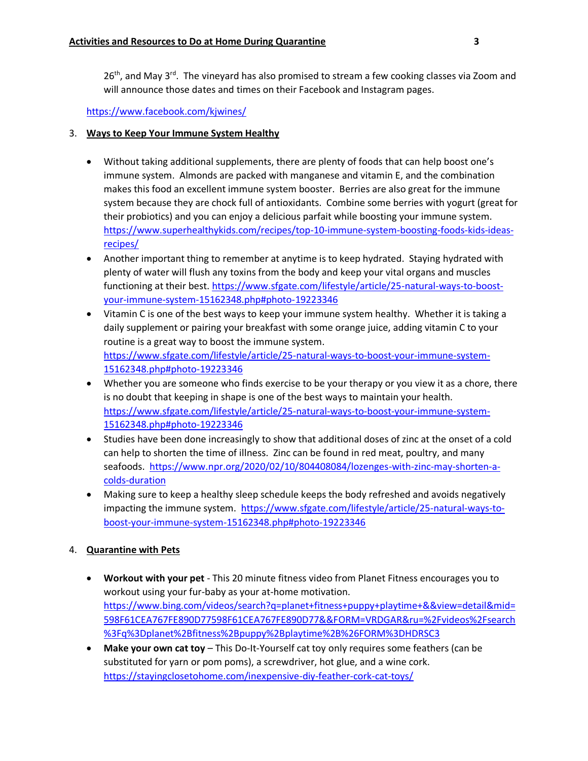$26<sup>th</sup>$ , and May 3<sup>rd</sup>. The vineyard has also promised to stream a few cooking classes via Zoom and will announce those dates and times on their Facebook and Instagram pages.

<https://www.facebook.com/kjwines/>

## 3. **Ways to Keep Your Immune System Healthy**

- Without taking additional supplements, there are plenty of foods that can help boost one's immune system. Almonds are packed with manganese and vitamin E, and the combination makes this food an excellent immune system booster. Berries are also great for the immune system because they are chock full of antioxidants. Combine some berries with yogurt (great for their probiotics) and you can enjoy a delicious parfait while boosting your immune system. [https://www.superhealthykids.com/recipes/top-10-immune-system-boosting-foods-kids-ideas](https://www.superhealthykids.com/recipes/top-10-immune-system-boosting-foods-kids-ideas-recipes/)[recipes/](https://www.superhealthykids.com/recipes/top-10-immune-system-boosting-foods-kids-ideas-recipes/)
- Another important thing to remember at anytime is to keep hydrated. Staying hydrated with plenty of water will flush any toxins from the body and keep your vital organs and muscles functioning at their best. [https://www.sfgate.com/lifestyle/article/25-natural-ways-to-boost](https://www.sfgate.com/lifestyle/article/25-natural-ways-to-boost-your-immune-system-15162348.php#photo-19223346)[your-immune-system-15162348.php#photo-19223346](https://www.sfgate.com/lifestyle/article/25-natural-ways-to-boost-your-immune-system-15162348.php#photo-19223346)
- Vitamin C is one of the best ways to keep your immune system healthy. Whether it is taking a daily supplement or pairing your breakfast with some orange juice, adding vitamin C to your routine is a great way to boost the immune system. [https://www.sfgate.com/lifestyle/article/25-natural-ways-to-boost-your-immune-system-](https://www.sfgate.com/lifestyle/article/25-natural-ways-to-boost-your-immune-system-15162348.php#photo-19223346)[15162348.php#photo-19223346](https://www.sfgate.com/lifestyle/article/25-natural-ways-to-boost-your-immune-system-15162348.php#photo-19223346)
- Whether you are someone who finds exercise to be your therapy or you view it as a chore, there is no doubt that keeping in shape is one of the best ways to maintain your health. [https://www.sfgate.com/lifestyle/article/25-natural-ways-to-boost-your-immune-system-](https://www.sfgate.com/lifestyle/article/25-natural-ways-to-boost-your-immune-system-15162348.php#photo-19223346)[15162348.php#photo-19223346](https://www.sfgate.com/lifestyle/article/25-natural-ways-to-boost-your-immune-system-15162348.php#photo-19223346)
- Studies have been done increasingly to show that additional doses of zinc at the onset of a cold can help to shorten the time of illness. Zinc can be found in red meat, poultry, and many seafoods. [https://www.npr.org/2020/02/10/804408084/lozenges-with-zinc-may-shorten-a](https://www.npr.org/2020/02/10/804408084/lozenges-with-zinc-may-shorten-a-colds-duration)[colds-duration](https://www.npr.org/2020/02/10/804408084/lozenges-with-zinc-may-shorten-a-colds-duration)
- Making sure to keep a healthy sleep schedule keeps the body refreshed and avoids negatively impacting the immune system. [https://www.sfgate.com/lifestyle/article/25-natural-ways-to](https://www.sfgate.com/lifestyle/article/25-natural-ways-to-boost-your-immune-system-15162348.php#photo-19223346)[boost-your-immune-system-15162348.php#photo-19223346](https://www.sfgate.com/lifestyle/article/25-natural-ways-to-boost-your-immune-system-15162348.php#photo-19223346)

# 4. **Quarantine with Pets**

- **Workout with your pet** This 20 minute fitness video from Planet Fitness encourages you to workout using your fur-baby as your at-home motivation. [https://www.bing.com/videos/search?q=planet+fitness+puppy+playtime+&&view=detail&mid=](https://www.bing.com/videos/search?q=planet+fitness+puppy+playtime+&&view=detail&mid=598F61CEA767FE890D77598F61CEA767FE890D77&&FORM=VRDGAR&ru=%2Fvideos%2Fsearch%3Fq%3Dplanet%2Bfitness%2Bpuppy%2Bplaytime%2B%26FORM%3DHDRSC3) [598F61CEA767FE890D77598F61CEA767FE890D77&&FORM=VRDGAR&ru=%2Fvideos%2Fsearch](https://www.bing.com/videos/search?q=planet+fitness+puppy+playtime+&&view=detail&mid=598F61CEA767FE890D77598F61CEA767FE890D77&&FORM=VRDGAR&ru=%2Fvideos%2Fsearch%3Fq%3Dplanet%2Bfitness%2Bpuppy%2Bplaytime%2B%26FORM%3DHDRSC3) [%3Fq%3Dplanet%2Bfitness%2Bpuppy%2Bplaytime%2B%26FORM%3DHDRSC3](https://www.bing.com/videos/search?q=planet+fitness+puppy+playtime+&&view=detail&mid=598F61CEA767FE890D77598F61CEA767FE890D77&&FORM=VRDGAR&ru=%2Fvideos%2Fsearch%3Fq%3Dplanet%2Bfitness%2Bpuppy%2Bplaytime%2B%26FORM%3DHDRSC3)
- **Make your own cat toy** This Do-It-Yourself cat toy only requires some feathers (can be substituted for yarn or pom poms), a screwdriver, hot glue, and a wine cork. <https://stayingclosetohome.com/inexpensive-diy-feather-cork-cat-toys/>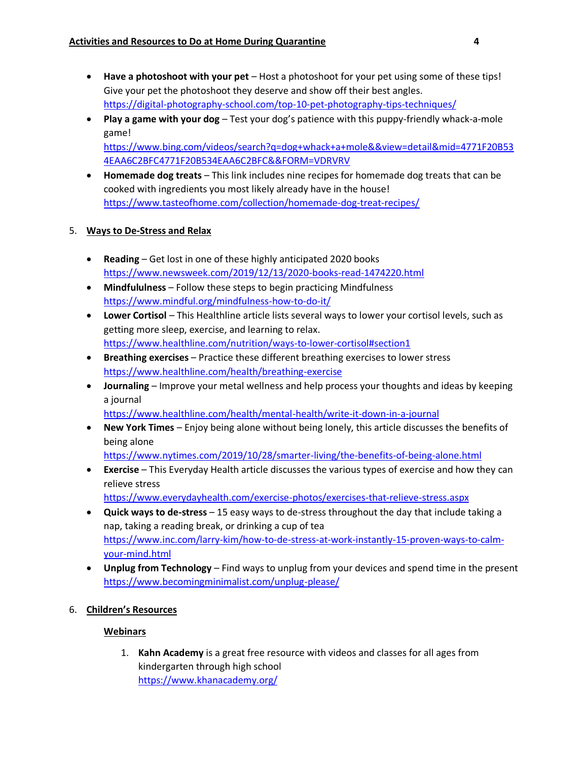- **Have a photoshoot with your pet** Host a photoshoot for your pet using some of these tips! Give your pet the photoshoot they deserve and show off their best angles. <https://digital-photography-school.com/top-10-pet-photography-tips-techniques/>
- **Play a game with your dog** Test your dog's patience with this puppy-friendly whack-a-mole game!

[https://www.bing.com/videos/search?q=dog+whack+a+mole&&view=detail&mid=4771F20B53](https://www.bing.com/videos/search?q=dog+whack+a+mole&&view=detail&mid=4771F20B534EAA6C2BFC4771F20B534EAA6C2BFC&&FORM=VDRVRV) [4EAA6C2BFC4771F20B534EAA6C2BFC&&FORM=VDRVRV](https://www.bing.com/videos/search?q=dog+whack+a+mole&&view=detail&mid=4771F20B534EAA6C2BFC4771F20B534EAA6C2BFC&&FORM=VDRVRV)

• **Homemade dog treats** – This link includes nine recipes for homemade dog treats that can be cooked with ingredients you most likely already have in the house! <https://www.tasteofhome.com/collection/homemade-dog-treat-recipes/>

## 5. **Ways to De-Stress and Relax**

- **Reading** Get lost in one of these highly anticipated 2020 books <https://www.newsweek.com/2019/12/13/2020-books-read-1474220.html>
- **Mindfululness** Follow these steps to begin practicing Mindfulness <https://www.mindful.org/mindfulness-how-to-do-it/>
- **Lower Cortisol** This Healthline article lists several ways to lower your cortisol levels, such as getting more sleep, exercise, and learning to relax. <https://www.healthline.com/nutrition/ways-to-lower-cortisol#section1>
- **Breathing exercises** Practice these different breathing exercises to lower stress <https://www.healthline.com/health/breathing-exercise>
- **Journaling** Improve your metal wellness and help process your thoughts and ideas by keeping a journal

<https://www.healthline.com/health/mental-health/write-it-down-in-a-journal>

• **New York Times** – Enjoy being alone without being lonely, this article discusses the benefits of being alone

<https://www.nytimes.com/2019/10/28/smarter-living/the-benefits-of-being-alone.html>

• **Exercise** – This Everyday Health article discusses the various types of exercise and how they can relieve stress

<https://www.everydayhealth.com/exercise-photos/exercises-that-relieve-stress.aspx>

- **Quick ways to de-stress** 15 easy ways to de-stress throughout the day that include taking a nap, taking a reading break, or drinking a cup of tea [https://www.inc.com/larry-kim/how-to-de-stress-at-work-instantly-15-proven-ways-to-calm](https://www.inc.com/larry-kim/how-to-de-stress-at-work-instantly-15-proven-ways-to-calm-your-mind.html)[your-mind.html](https://www.inc.com/larry-kim/how-to-de-stress-at-work-instantly-15-proven-ways-to-calm-your-mind.html)
- **Unplug from Technology** Find ways to unplug from your devices and spend time in the present <https://www.becomingminimalist.com/unplug-please/>
- 6. **Children's Resources**

## **Webinars**

1. **Kahn Academy** is a great free resource with videos and classes for all ages from kindergarten through high school [https://www.khanacademy.org/](https://urldefense.com/v3/__https:/www.khanacademy.org/__;!!GqivPVa7Brio!PnkkFQIc31Xm0SI-sdEEayfmUiEa7C3JI0jpV7SIFyXPBT0ZRLDowC3lzO9zcL2nomo$)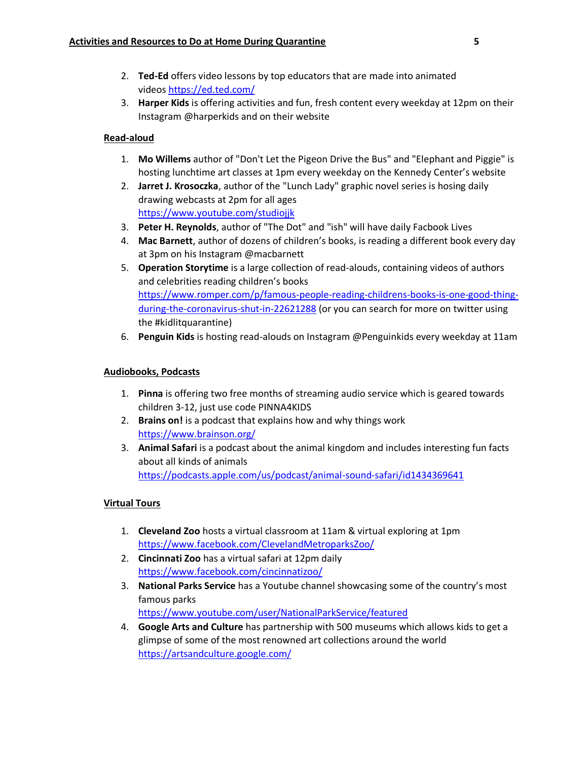- 2. **Ted-Ed** offers video lessons by top educators that are made into animated videos [https://ed.ted.com/](https://urldefense.com/v3/__https:/ed.ted.com/__;!!GqivPVa7Brio!PnkkFQIc31Xm0SI-sdEEayfmUiEa7C3JI0jpV7SIFyXPBT0ZRLDowC3lzO9zLoTRBSM$)
- 3. **Harper Kids** is offering activities and fun, fresh content every weekday at 12pm on their Instagram @harperkids and on their website

# **Read-aloud**

- 1. **Mo Willems** author of "Don't Let the Pigeon Drive the Bus" and "Elephant and Piggie" is hosting lunchtime art classes at 1pm every weekday on the Kennedy Center's website
- 2. **Jarret J. Krosoczka**, author of the "Lunch Lady" graphic novel series is hosing daily drawing webcasts at 2pm for all ages [https://www.youtube.com/studiojjk](https://urldefense.com/v3/__https:/www.youtube.com/studiojjk__;!!GqivPVa7Brio!PnkkFQIc31Xm0SI-sdEEayfmUiEa7C3JI0jpV7SIFyXPBT0ZRLDowC3lzO9ztCjL6nQ$)
- 3. **Peter H. Reynolds**, author of "The Dot" and "ish" will have daily Facbook Lives
- 4. **Mac Barnett**, author of dozens of children's books, is reading a different book every day at 3pm on his Instagram @macbarnett
- 5. **Operation Storytime** is a large collection of read-alouds, containing videos of authors and celebrities reading children's books [https://www.romper.com/p/famous-people-reading-childrens-books-is-one-good-thing](https://urldefense.com/v3/__https:/www.romper.com/p/famous-people-reading-childrens-books-is-one-good-thing-during-the-coronavirus-shut-in-22621288__;!!GqivPVa7Brio!PnkkFQIc31Xm0SI-sdEEayfmUiEa7C3JI0jpV7SIFyXPBT0ZRLDowC3lzO9zUMZ5Vng$)[during-the-coronavirus-shut-in-22621288](https://urldefense.com/v3/__https:/www.romper.com/p/famous-people-reading-childrens-books-is-one-good-thing-during-the-coronavirus-shut-in-22621288__;!!GqivPVa7Brio!PnkkFQIc31Xm0SI-sdEEayfmUiEa7C3JI0jpV7SIFyXPBT0ZRLDowC3lzO9zUMZ5Vng$) (or you can search for more on twitter using the #kidlitquarantine)
- 6. **Penguin Kids** is hosting read-alouds on Instagram @Penguinkids every weekday at 11am

## **Audiobooks, Podcasts**

- 1. **Pinna** is offering two free months of streaming audio service which is geared towards children 3-12, just use code PINNA4KIDS
- 2. **Brains on!** is a podcast that explains how and why things work [https://www.brainson.org/](https://urldefense.com/v3/__https:/www.brainson.org/__;!!GqivPVa7Brio!PnkkFQIc31Xm0SI-sdEEayfmUiEa7C3JI0jpV7SIFyXPBT0ZRLDowC3lzO9z841nTUU$)
- 3. **Animal Safari** is a podcast about the animal kingdom and includes interesting fun facts about all kinds of animals [https://podcasts.apple.com/us/podcast/animal-sound-safari/id1434369641](https://urldefense.com/v3/__https:/podcasts.apple.com/us/podcast/animal-sound-safari/id1434369641__;!!GqivPVa7Brio!PnkkFQIc31Xm0SI-sdEEayfmUiEa7C3JI0jpV7SIFyXPBT0ZRLDowC3lzO9zVKVIrOc$)

## **Virtual Tours**

- 1. **Cleveland Zoo** hosts a virtual classroom at 11am & virtual exploring at 1pm [https://www.facebook.com/ClevelandMetroparksZoo/](https://urldefense.com/v3/__https:/www.facebook.com/ClevelandMetroparksZoo/__;!!GqivPVa7Brio!PnkkFQIc31Xm0SI-sdEEayfmUiEa7C3JI0jpV7SIFyXPBT0ZRLDowC3lzO9z6wRs-ig$)
- 2. **Cincinnati Zoo** has a virtual safari at 12pm daily [https://www.facebook.com/cincinnatizoo/](https://urldefense.com/v3/__https:/www.facebook.com/cincinnatizoo/__;!!GqivPVa7Brio!PnkkFQIc31Xm0SI-sdEEayfmUiEa7C3JI0jpV7SIFyXPBT0ZRLDowC3lzO9znp6IOb8$)
- 3. **National Parks Service** has a Youtube channel showcasing some of the country's most famous parks [https://www.youtube.com/user/NationalParkService/featured](https://urldefense.com/v3/__https:/www.youtube.com/user/NationalParkService/featured__;!!GqivPVa7Brio!PnkkFQIc31Xm0SI-sdEEayfmUiEa7C3JI0jpV7SIFyXPBT0ZRLDowC3lzO9z66Nvfl0$)
- 4. **Google Arts and Culture** has partnership with 500 museums which allows kids to get a glimpse of some of the most renowned art collections around the world [https://artsandculture.google.com/](https://urldefense.com/v3/__https:/artsandculture.google.com/__;!!GqivPVa7Brio!PnkkFQIc31Xm0SI-sdEEayfmUiEa7C3JI0jpV7SIFyXPBT0ZRLDowC3lzO9zG85n4ag$)